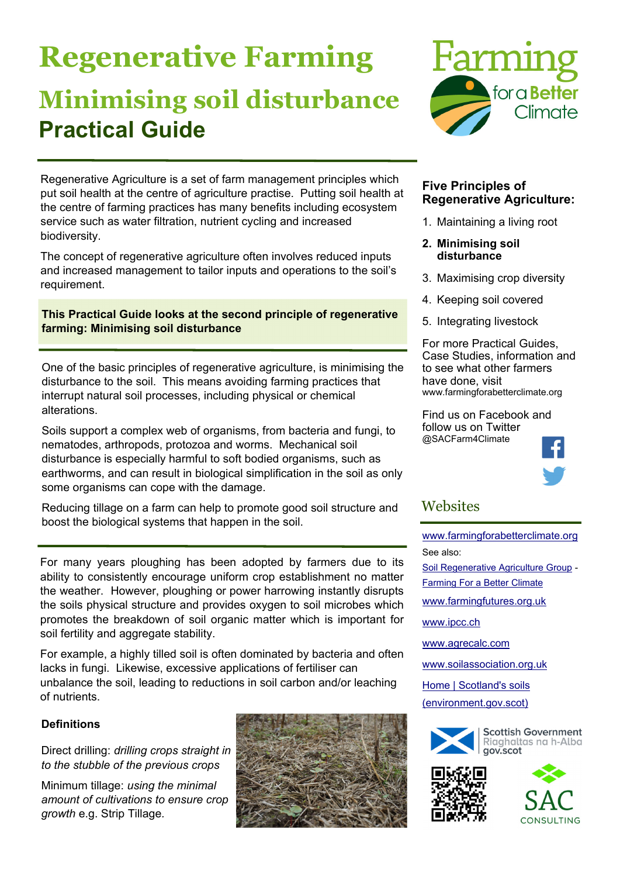# **Regenerative Farming Minimising soil disturbance Practical Guide**



Regenerative Agriculture is a set of farm management principles which put soil health at the centre of agriculture practise. Putting soil health at the centre of farming practices has many benefits including ecosystem service such as water filtration, nutrient cycling and increased biodiversity.

The concept of regenerative agriculture often involves reduced inputs and increased management to tailor inputs and operations to the soil's requirement.

#### **This Practical Guide looks at the second principle of regenerative farming: Minimising soil disturbance**

One of the basic principles of regenerative agriculture, is minimising the disturbance to the soil. This means avoiding farming practices that interrupt natural soil processes, including physical or chemical alterations.

Soils support a complex web of organisms, from bacteria and fungi, to nematodes, arthropods, protozoa and worms. Mechanical soil disturbance is especially harmful to soft bodied organisms, such as earthworms, and can result in biological simplification in the soil as only some organisms can cope with the damage.

Reducing tillage on a farm can help to promote good soil structure and boost the biological systems that happen in the soil.

For many years ploughing has been adopted by farmers due to its ability to consistently encourage uniform crop establishment no matter the weather. However, ploughing or power harrowing instantly disrupts the soils physical structure and provides oxygen to soil microbes which promotes the breakdown of soil organic matter which is important for soil fertility and aggregate stability.

For example, a highly tilled soil is often dominated by bacteria and often lacks in fungi. Likewise, excessive applications of fertiliser can unbalance the soil, leading to reductions in soil carbon and/or leaching of nutrients.

### **Definitions**

Direct drilling: *drilling crops straight in to the stubble of the previous crops*

Minimum tillage: *using the minimal amount of cultivations to ensure crop growth* e.g. Strip Tillage*.*



#### **Five Principles of Regenerative Agriculture:**

- 1. Maintaining a living root
- **2. Minimising soil disturbance**
- 3. Maximising crop diversity
- 4. Keeping soil covered
- 5. Integrating livestock

For more Practical Guides, Case Studies, information and to see what other farmers have done, visit www.farmingforabetterclimate.org

Find us on Facebook and follow us on Twitter @SACFarm4Climate



# **Websites**

www.farmingforabetterclimate.org See also:

Soil Regenerative Agriculture Group - Farming For a Better Climate

www.farmingfutures.org.uk

www.ipcc.ch

www.agrecalc.com

www.soilassociation.org.uk

Home | Scotland's soils

(environment.gov.scot)